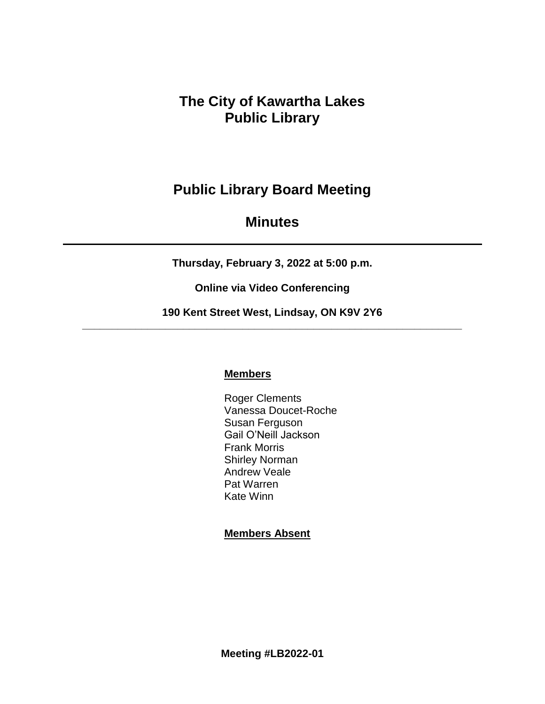**The City of Kawartha Lakes Public Library**

# **Public Library Board Meeting**

# **Minutes**

**Thursday, February 3, 2022 at 5:00 p.m.**

**Online via Video Conferencing**

**190 Kent Street West, Lindsay, ON K9V 2Y6 \_\_\_\_\_\_\_\_\_\_\_\_\_\_\_\_\_\_\_\_\_\_\_\_\_\_\_\_\_\_\_\_\_\_\_\_\_\_\_\_\_\_\_\_\_\_\_\_\_\_\_\_\_\_\_\_\_\_\_\_\_\_\_\_**

# **Members**

Roger Clements Vanessa Doucet-Roche Susan Ferguson Gail O'Neill Jackson Frank Morris Shirley Norman Andrew Veale Pat Warren Kate Winn

# **Members Absent**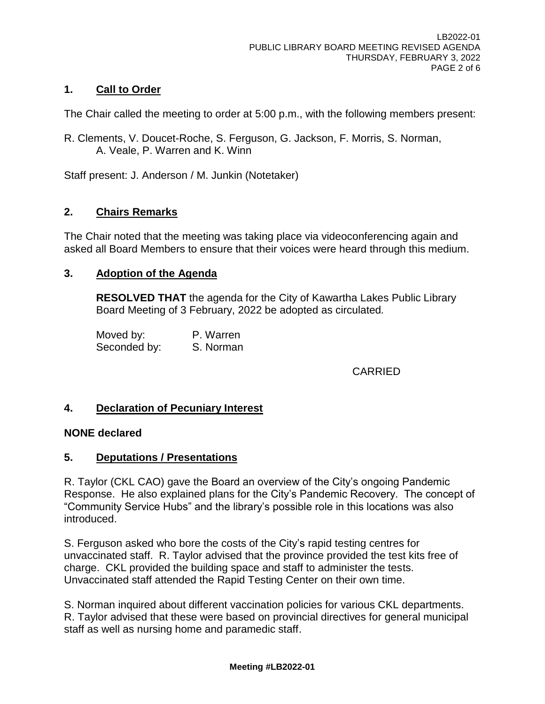# **1. Call to Order**

The Chair called the meeting to order at 5:00 p.m., with the following members present:

R. Clements, V. Doucet-Roche, S. Ferguson, G. Jackson, F. Morris, S. Norman, A. Veale, P. Warren and K. Winn

Staff present: J. Anderson / M. Junkin (Notetaker)

## **2. Chairs Remarks**

The Chair noted that the meeting was taking place via videoconferencing again and asked all Board Members to ensure that their voices were heard through this medium.

## **3. Adoption of the Agenda**

**RESOLVED THAT** the agenda for the City of Kawartha Lakes Public Library Board Meeting of 3 February, 2022 be adopted as circulated*.*

Moved by: P. Warren Seconded by: S. Norman

CARRIED

## **4. Declaration of Pecuniary Interest**

#### **NONE declared**

## **5. Deputations / Presentations**

R. Taylor (CKL CAO) gave the Board an overview of the City's ongoing Pandemic Response. He also explained plans for the City's Pandemic Recovery. The concept of "Community Service Hubs" and the library's possible role in this locations was also introduced.

S. Ferguson asked who bore the costs of the City's rapid testing centres for unvaccinated staff. R. Taylor advised that the province provided the test kits free of charge. CKL provided the building space and staff to administer the tests. Unvaccinated staff attended the Rapid Testing Center on their own time.

S. Norman inquired about different vaccination policies for various CKL departments. R. Taylor advised that these were based on provincial directives for general municipal staff as well as nursing home and paramedic staff.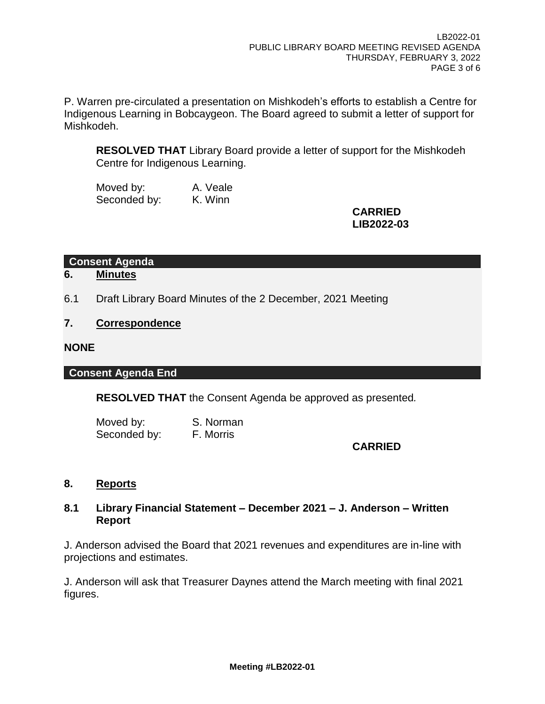P. Warren pre-circulated a presentation on Mishkodeh's efforts to establish a Centre for Indigenous Learning in Bobcaygeon. The Board agreed to submit a letter of support for Mishkodeh.

**RESOLVED THAT** Library Board provide a letter of support for the Mishkodeh Centre for Indigenous Learning.

Moved by: A. Veale Seconded by: K. Winn

**CARRIED LIB2022-03**

**Consent Agenda**

**6. Minutes**

6.1 Draft Library Board Minutes of the 2 December, 2021 Meeting

## **7. Correspondence**

## **NONE**

## **Consent Agenda End**

**RESOLVED THAT** the Consent Agenda be approved as presented*.*

Moved by: S. Norman Seconded by: F. Morris

# **CARRIED**

## **8. Reports**

## **8.1 Library Financial Statement – December 2021 – J. Anderson – Written Report**

J. Anderson advised the Board that 2021 revenues and expenditures are in-line with projections and estimates.

J. Anderson will ask that Treasurer Daynes attend the March meeting with final 2021 figures.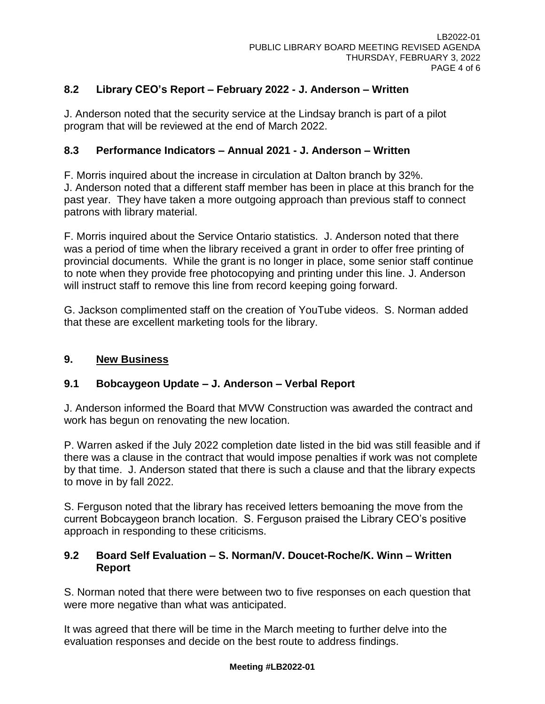# **8.2 Library CEO's Report – February 2022 - J. Anderson – Written**

J. Anderson noted that the security service at the Lindsay branch is part of a pilot program that will be reviewed at the end of March 2022.

## **8.3 Performance Indicators – Annual 2021 - J. Anderson – Written**

F. Morris inquired about the increase in circulation at Dalton branch by 32%. J. Anderson noted that a different staff member has been in place at this branch for the past year. They have taken a more outgoing approach than previous staff to connect patrons with library material.

F. Morris inquired about the Service Ontario statistics. J. Anderson noted that there was a period of time when the library received a grant in order to offer free printing of provincial documents. While the grant is no longer in place, some senior staff continue to note when they provide free photocopying and printing under this line. J. Anderson will instruct staff to remove this line from record keeping going forward.

G. Jackson complimented staff on the creation of YouTube videos. S. Norman added that these are excellent marketing tools for the library.

# **9. New Business**

# **9.1 Bobcaygeon Update – J. Anderson – Verbal Report**

J. Anderson informed the Board that MVW Construction was awarded the contract and work has begun on renovating the new location.

P. Warren asked if the July 2022 completion date listed in the bid was still feasible and if there was a clause in the contract that would impose penalties if work was not complete by that time. J. Anderson stated that there is such a clause and that the library expects to move in by fall 2022.

S. Ferguson noted that the library has received letters bemoaning the move from the current Bobcaygeon branch location. S. Ferguson praised the Library CEO's positive approach in responding to these criticisms.

## **9.2 Board Self Evaluation – S. Norman/V. Doucet-Roche/K. Winn – Written Report**

S. Norman noted that there were between two to five responses on each question that were more negative than what was anticipated.

It was agreed that there will be time in the March meeting to further delve into the evaluation responses and decide on the best route to address findings.

#### **Meeting #LB2022-01**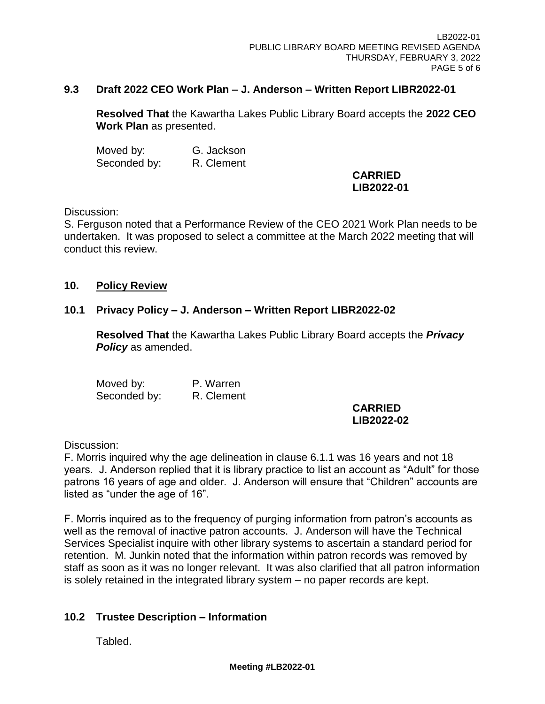#### **9.3 Draft 2022 CEO Work Plan – J. Anderson – Written Report LIBR2022-01**

**Resolved That** the Kawartha Lakes Public Library Board accepts the **2022 CEO Work Plan** as presented.

Moved by: G. Jackson Seconded by: R. Clement

#### **CARRIED LIB2022-01**

#### Discussion:

S. Ferguson noted that a Performance Review of the CEO 2021 Work Plan needs to be undertaken. It was proposed to select a committee at the March 2022 meeting that will conduct this review.

#### **10. Policy Review**

## **10.1 Privacy Policy – J. Anderson – Written Report LIBR2022-02**

**Resolved That** the Kawartha Lakes Public Library Board accepts the *Privacy Policy* as amended.

Moved by: P. Warren Seconded by: R. Clement

#### **CARRIED LIB2022-02**

Discussion:

F. Morris inquired why the age delineation in clause 6.1.1 was 16 years and not 18 years. J. Anderson replied that it is library practice to list an account as "Adult" for those patrons 16 years of age and older. J. Anderson will ensure that "Children" accounts are listed as "under the age of 16".

F. Morris inquired as to the frequency of purging information from patron's accounts as well as the removal of inactive patron accounts. J. Anderson will have the Technical Services Specialist inquire with other library systems to ascertain a standard period for retention. M. Junkin noted that the information within patron records was removed by staff as soon as it was no longer relevant. It was also clarified that all patron information is solely retained in the integrated library system – no paper records are kept.

## **10.2 Trustee Description – Information**

Tabled.